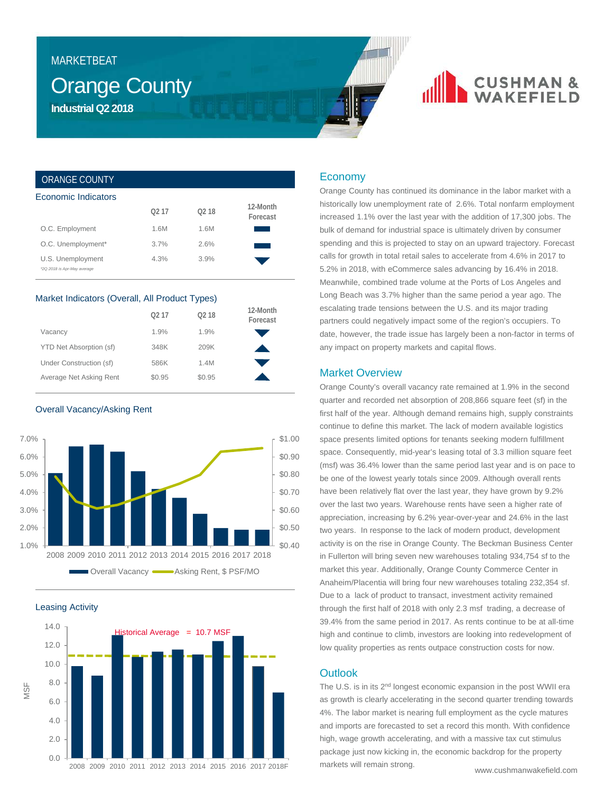## MARKETBEAT

## Orange County **Industrial Q2 2018**

## **CUSHMAN &**<br>WAKEFIELD

### ORANGE COUNTY

| Economic Indicators                              |      |                   |                      |  |  |  |
|--------------------------------------------------|------|-------------------|----------------------|--|--|--|
|                                                  | 0217 | O <sub>2</sub> 18 | 12-Month<br>Forecast |  |  |  |
| O.C. Employment                                  | 1.6M | 1.6M              |                      |  |  |  |
| O.C. Unemployment*                               | 3.7% | 2.6%              |                      |  |  |  |
| U.S. Unemployment<br>*2Q 2018 is Apr-May average | 4.3% | 3.9%              |                      |  |  |  |

#### Market Indicators (Overall, All Product Types)

|                         | 0217   | O <sub>2</sub> 18 | 12-Month<br>Forecast |
|-------------------------|--------|-------------------|----------------------|
| Vacancy                 | 1.9%   | 1.9%              |                      |
| YTD Net Absorption (sf) | 348K   | 209K              |                      |
| Under Construction (sf) | 586K   | 1.4M              |                      |
| Average Net Asking Rent | \$0.95 | \$0.95            |                      |

Overall Vacancy/Asking Rent



Leasing Activity



### Economy

Orange County has continued its dominance in the labor market with a historically low unemployment rate of 2.6%. Total nonfarm employment increased 1.1% over the last year with the addition of 17,300 jobs. The bulk of demand for industrial space is ultimately driven by consumer spending and this is projected to stay on an upward trajectory. Forecast calls for growth in total retail sales to accelerate from 4.6% in 2017 to 5.2% in 2018, with eCommerce sales advancing by 16.4% in 2018. Meanwhile, combined trade volume at the Ports of Los Angeles and Long Beach was 3.7% higher than the same period a year ago. The escalating trade tensions between the U.S. and its major trading partners could negatively impact some of the region's occupiers. To date, however, the trade issue has largely been a non-factor in terms of any impact on property markets and capital flows.

### Market Overview

Orange County's overall vacancy rate remained at 1.9% in the second quarter and recorded net absorption of 208,866 square feet (sf) in the first half of the year. Although demand remains high, supply constraints continue to define this market. The lack of modern available logistics space presents limited options for tenants seeking modern fulfillment space. Consequently, mid-year's leasing total of 3.3 million square feet (msf) was 36.4% lower than the same period last year and is on pace to be one of the lowest yearly totals since 2009. Although overall rents have been relatively flat over the last year, they have grown by 9.2% over the last two years. Warehouse rents have seen a higher rate of appreciation, increasing by 6.2% year-over-year and 24.6% in the last two years. In response to the lack of modern product, development activity is on the rise in Orange County. The Beckman Business Center in Fullerton will bring seven new warehouses totaling 934,754 sf to the market this year. Additionally, Orange County Commerce Center in Anaheim/Placentia will bring four new warehouses totaling 232,354 sf. Due to a lack of product to transact, investment activity remained through the first half of 2018 with only 2.3 msf trading, a decrease of 39.4% from the same period in 2017. As rents continue to be at all-time high and continue to climb, investors are looking into redevelopment of low quality properties as rents outpace construction costs for now.

### **Outlook**

The U.S. is in its 2<sup>nd</sup> longest economic expansion in the post WWII era as growth is clearly accelerating in the second quarter trending towards 4%. The labor market is nearing full employment as the cycle matures and imports are forecasted to set a record this month. With confidence high, wage growth accelerating, and with a massive tax cut stimulus package just now kicking in, the economic backdrop for the property markets will remain strong.

www.cushmanwakefield.com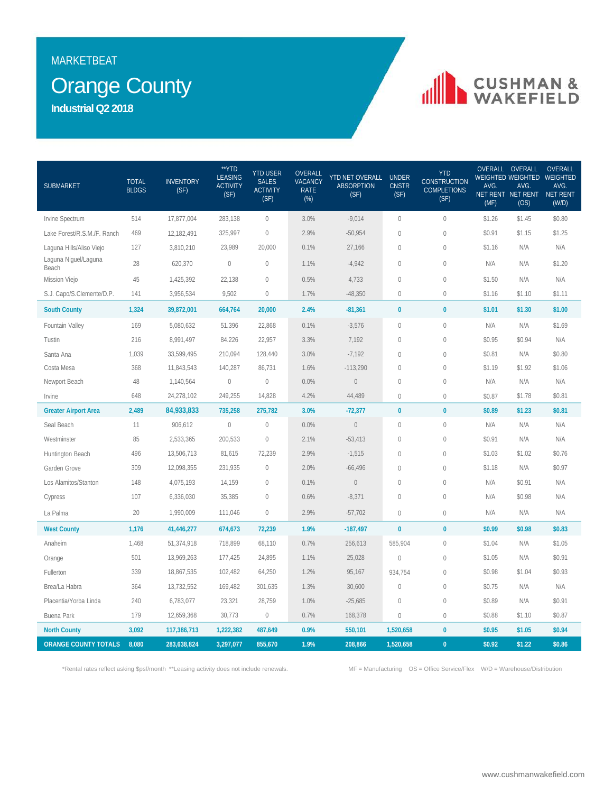## MARKETBEAT

## **Orange County**

**Industrial Q2 2018**

# **IN CUSHMAN &**

| <b>SUBMARKET</b>              | <b>TOTAL</b><br><b>BLDGS</b> | <b>INVENTORY</b><br>(SF) | **YTD<br><b>LEASING</b><br><b>ACTIVITY</b><br>(SF) | <b>YTD USER</b><br><b>SALES</b><br><b>ACTIVITY</b><br>(SF) | OVERALL<br><b>VACANCY</b><br><b>RATE</b><br>$(\%)$ | YTD NET OVERALL UNDER<br><b>ABSORPTION</b><br>(SF) | <b>CNSTR</b><br>(SF) | <b>YTD</b><br><b>CONSTRUCTION</b><br><b>COMPLETIONS</b><br>(SF) | AVG.<br>(MF) | OVERALL OVERALL<br>AVG.<br>NET RENT NET RENT<br>(OS) | OVERALL<br><b>WEIGHTED WEIGHTED WEIGHTED</b><br>AVG.<br>NET RENT<br>(W/D) |
|-------------------------------|------------------------------|--------------------------|----------------------------------------------------|------------------------------------------------------------|----------------------------------------------------|----------------------------------------------------|----------------------|-----------------------------------------------------------------|--------------|------------------------------------------------------|---------------------------------------------------------------------------|
| Irvine Spectrum               | 514                          | 17,877,004               | 283,138                                            | $\mathbf{0}$                                               | 3.0%                                               | $-9,014$                                           | $\mathbf{0}$         | $\overline{0}$                                                  | \$1.26       | \$1.45                                               | \$0.80                                                                    |
| Lake Forest/R.S.M./F. Ranch   | 469                          | 12,182,491               | 325,997                                            | $\mathbf{0}$                                               | 2.9%                                               | $-50,954$                                          | $\mathbf 0$          | $\mathbf 0$                                                     | \$0.91       | \$1.15                                               | \$1.25                                                                    |
| Laguna Hills/Aliso Viejo      | 127                          | 3,810,210                | 23,989                                             | 20,000                                                     | 0.1%                                               | 27,166                                             | $\mathbf 0$          | $\mathbf 0$                                                     | \$1.16       | N/A                                                  | N/A                                                                       |
| Laguna Niguel/Laguna<br>Beach | 28                           | 620,370                  | $\mathbb O$                                        | $\mathbf 0$                                                | 1.1%                                               | $-4,942$                                           | $\mathbf{0}$         | $\mathbf 0$                                                     | N/A          | N/A                                                  | \$1.20                                                                    |
| Mission Viejo                 | 45                           | 1,425,392                | 22,138                                             | $\mathbf 0$                                                | 0.5%                                               | 4,733                                              | $\mathbf 0$          | $\mathbf 0$                                                     | \$1.50       | N/A                                                  | N/A                                                                       |
| S.J. Capo/S.Clemente/D.P.     | 141                          | 3,956,534                | 9,502                                              | $\mathbf{0}$                                               | 1.7%                                               | $-48,350$                                          | $\mathbf{0}$         | $\mathbf{0}$                                                    | \$1.16       | \$1.10                                               | \$1.11                                                                    |
| <b>South County</b>           | 1,324                        | 39,872,001               | 664,764                                            | 20,000                                                     | 2.4%                                               | $-81,361$                                          | $\bf{0}$             | $\mathbf{0}$                                                    | \$1.01       | \$1.30                                               | \$1.00                                                                    |
| Fountain Valley               | 169                          | 5,080,632                | 51.396                                             | 22,868                                                     | 0.1%                                               | $-3,576$                                           | $\mathbf{0}$         | $\mathbf 0$                                                     | N/A          | N/A                                                  | \$1.69                                                                    |
| Tustin                        | 216                          | 8,991,497                | 84.226                                             | 22,957                                                     | 3.3%                                               | 7,192                                              | $\theta$             | $\overline{0}$                                                  | \$0.95       | \$0.94                                               | N/A                                                                       |
| Santa Ana                     | 1,039                        | 33,599,495               | 210,094                                            | 128,440                                                    | 3.0%                                               | $-7,192$                                           | $\mathbf{0}$         | $\mathbf 0$                                                     | \$0.81       | N/A                                                  | \$0.80                                                                    |
| Costa Mesa                    | 368                          | 11,843,543               | 140,287                                            | 86,731                                                     | 1.6%                                               | $-113,290$                                         | $\mathbf{0}$         | $\mathbf 0$                                                     | \$1.19       | \$1.92                                               | \$1.06                                                                    |
| Newport Beach                 | 48                           | 1,140,564                | $\mathbf 0$                                        | $\mathbf 0$                                                | 0.0%                                               | $\mathbb O$                                        | $\mathbf{0}$         | $\mathbb O$                                                     | N/A          | N/A                                                  | N/A                                                                       |
| Irvine                        | 648                          | 24,278,102               | 249,255                                            | 14,828                                                     | 4.2%                                               | 44,489                                             | $\left( \right)$     | $\mathbf 0$                                                     | \$0.87       | \$1.78                                               | \$0.81                                                                    |
| <b>Greater Airport Area</b>   | 2,489                        | 84,933,833               | 735,258                                            | 275,782                                                    | 3.0%                                               | $-72,377$                                          | $\bf{0}$             | $\mathbf{0}$                                                    | \$0.89       | \$1.23                                               | \$0.81                                                                    |
| Seal Beach                    | 11                           | 906,612                  | $\mathbb O$                                        | $\mathbf 0$                                                | 0.0%                                               | $\mathbb O$                                        | $\mathbf 0$          | $\mathbf 0$                                                     | N/A          | N/A                                                  | N/A                                                                       |
| Westminster                   | 85                           | 2,533,365                | 200,533                                            | $\mathbf 0$                                                | 2.1%                                               | $-53,413$                                          | $\mathbf 0$          | $\mathbb O$                                                     | \$0.91       | N/A                                                  | N/A                                                                       |
| Huntington Beach              | 496                          | 13,506,713               | 81,615                                             | 72,239                                                     | 2.9%                                               | $-1,515$                                           | $\mathbf{0}$         | $\mathbf{0}$                                                    | \$1.03       | \$1.02                                               | \$0.76                                                                    |
| Garden Grove                  | 309                          | 12,098,355               | 231,935                                            | $\overline{0}$                                             | 2.0%                                               | $-66,496$                                          | $\mathbf{0}$         | $\mathbf 0$                                                     | \$1.18       | N/A                                                  | \$0.97                                                                    |
| Los Alamitos/Stanton          | 148                          | 4,075,193                | 14,159                                             | $\mathbb O$                                                | 0.1%                                               | $\mathbf 0$                                        | $\mathbf 0$          | $\mathbf{0}$                                                    | N/A          | \$0.91                                               | N/A                                                                       |
| Cypress                       | 107                          | 6,336,030                | 35,385                                             | $\mathbf 0$                                                | 0.6%                                               | $-8,371$                                           | $\mathbf{0}$         | $\mathbf 0$                                                     | N/A          | \$0.98                                               | N/A                                                                       |
| La Palma                      | 20                           | 1,990,009                | 111,046                                            | $\mathbf 0$                                                | 2.9%                                               | $-57,702$                                          | $\mathbf{0}$         | $\mathbf 0$                                                     | N/A          | N/A                                                  | N/A                                                                       |
| <b>West County</b>            | 1,176                        | 41,446,277               | 674,673                                            | 72,239                                                     | 1.9%                                               | $-187,497$                                         | $\bf{0}$             | $\bf{0}$                                                        | \$0.99       | \$0.98                                               | \$0.83                                                                    |
| Anaheim                       | 1,468                        | 51,374,918               | 718,899                                            | 68,110                                                     | 0.7%                                               | 256,613                                            | 585,904              | $\overline{0}$                                                  | \$1.04       | N/A                                                  | \$1.05                                                                    |
| Orange                        | 501                          | 13,969,263               | 177,425                                            | 24,895                                                     | 1.1%                                               | 25,028                                             | $\mathbf 0$          | $\mathbf 0$                                                     | \$1.05       | N/A                                                  | \$0.91                                                                    |
| Fullerton                     | 339                          | 18,867,535               | 102,482                                            | 64,250                                                     | 1.2%                                               | 95,167                                             | 934,754              | $\mathbb O$                                                     | \$0.98       | \$1.04                                               | \$0.93                                                                    |
| Brea/La Habra                 | 364                          | 13,732,552               | 169,482                                            | 301,635                                                    | 1.3%                                               | 30,600                                             | $\mathbf{0}$         | $\overline{0}$                                                  | \$0.75       | N/A                                                  | N/A                                                                       |
| Placentia/Yorba Linda         | 240                          | 6,783,077                | 23,321                                             | 28,759                                                     | 1.0%                                               | $-25,685$                                          | $\mathbf{0}$         | $\mathbf 0$                                                     | \$0.89       | N/A                                                  | \$0.91                                                                    |
| Buena Park                    | 179                          | 12,659,368               | 30,773                                             | $\,0\,$                                                    | 0.7%                                               | 168,378                                            | $\mathbf 0$          | $\mathbb O$                                                     | \$0.88       | \$1.10                                               | \$0.87                                                                    |
| <b>North County</b>           | 3,092                        | 117,386,713              | 1,222,382                                          | 487,649                                                    | 0.9%                                               | 550,101                                            | 1,520,658            | $\mathbf{0}$                                                    | \$0.95       | \$1.05                                               | \$0.94                                                                    |
| <b>ORANGE COUNTY TOTALS</b>   | 8,080                        | 283,638,824              | 3,297,077                                          | 855,670                                                    | 1.9%                                               | 208,866                                            | 1,520,658            | $\overline{0}$                                                  | \$0.92       | \$1.22                                               | \$0.86                                                                    |

\*Rental rates reflect asking \$psf/month \*\*Leasing activity does not include renewals. MF = Manufacturing OS = Office Service/Flex W/D = Warehouse/Distribution